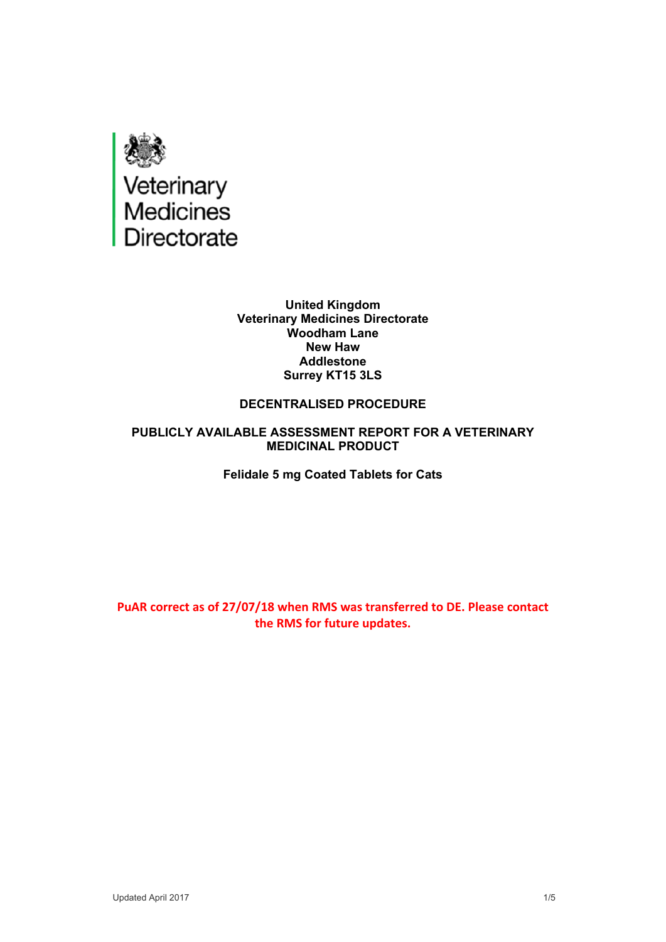

**United Kingdom Veterinary Medicines Directorate Woodham Lane New Haw Addlestone Surrey KT15 3LS**

#### **DECENTRALISED PROCEDURE**

#### **PUBLICLY AVAILABLE ASSESSMENT REPORT FOR A VETERINARY MEDICINAL PRODUCT**

**Felidale 5 mg Coated Tablets for Cats**

**PuAR correct as of 27/07/18 when RMS was transferred to DE. Please contact the RMS for future updates.**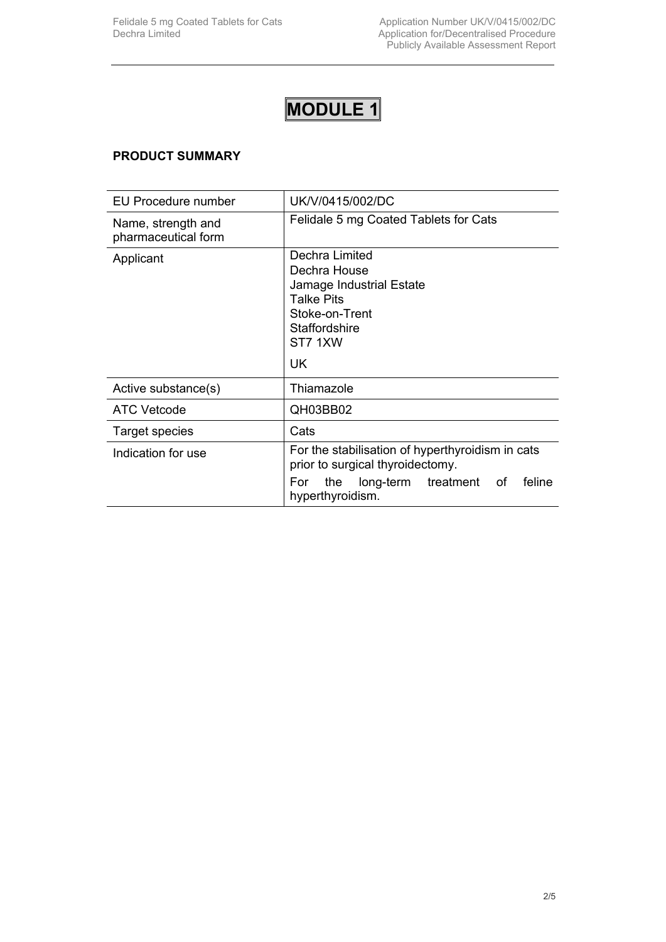#### **PRODUCT SUMMARY**

| EU Procedure number                       | UK/V/0415/002/DC                                                                                                                                        |
|-------------------------------------------|---------------------------------------------------------------------------------------------------------------------------------------------------------|
| Name, strength and<br>pharmaceutical form | Felidale 5 mg Coated Tablets for Cats                                                                                                                   |
| Applicant                                 | Dechra Limited<br>Dechra House<br>Jamage Industrial Estate<br><b>Talke Pits</b><br>Stoke-on-Trent<br>Staffordshire<br>ST7 1XW<br>UK.                    |
| Active substance(s)                       | Thiamazole                                                                                                                                              |
| <b>ATC Vetcode</b>                        | QH03BB02                                                                                                                                                |
| <b>Target species</b>                     | Cats                                                                                                                                                    |
| Indication for use                        | For the stabilisation of hyperthyroidism in cats<br>prior to surgical thyroidectomy.<br>feline<br>the long-term treatment of<br>For<br>hyperthyroidism. |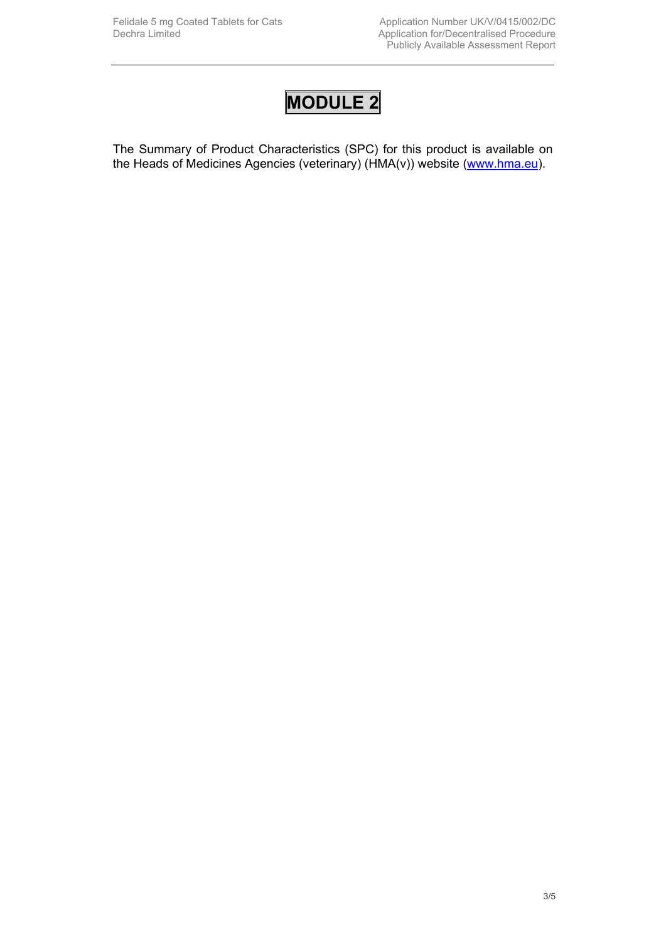The Summary of Product Characteristics (SPC) for this product is available on the Heads of Medicines Agencies (veterinary) (HMA(v)) website ([www.hma.eu](http://www.hma.eu/)).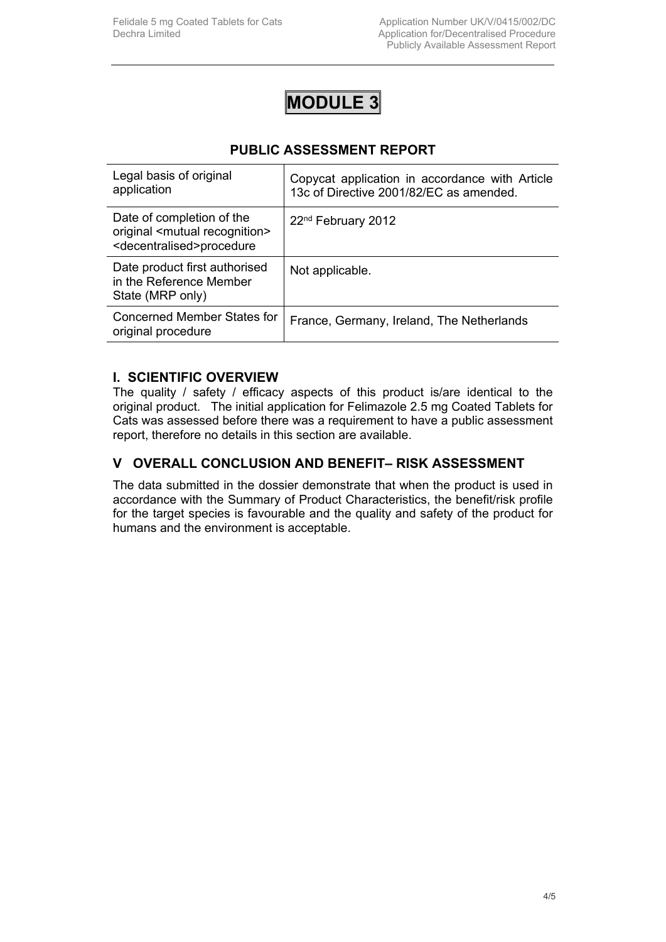### **PUBLIC ASSESSMENT REPORT**

| Legal basis of original<br>application                                                                              | Copycat application in accordance with Article<br>13c of Directive 2001/82/EC as amended. |
|---------------------------------------------------------------------------------------------------------------------|-------------------------------------------------------------------------------------------|
| Date of completion of the<br>original <mutual recognition=""><br/><decentralised>procedure</decentralised></mutual> | 22 <sup>nd</sup> February 2012                                                            |
| Date product first authorised<br>in the Reference Member<br>State (MRP only)                                        | Not applicable.                                                                           |
| Concerned Member States for<br>original procedure                                                                   | France, Germany, Ireland, The Netherlands                                                 |

#### **I. SCIENTIFIC OVERVIEW**

The quality / safety / efficacy aspects of this product is/are identical to the original product. The initial application for Felimazole 2.5 mg Coated Tablets for Cats was assessed before there was a requirement to have a public assessment report, therefore no details in this section are available.

#### **V OVERALL CONCLUSION AND BENEFIT– RISK ASSESSMENT**

The data submitted in the dossier demonstrate that when the product is used in accordance with the Summary of Product Characteristics, the benefit/risk profile for the target species is favourable and the quality and safety of the product for humans and the environment is acceptable.